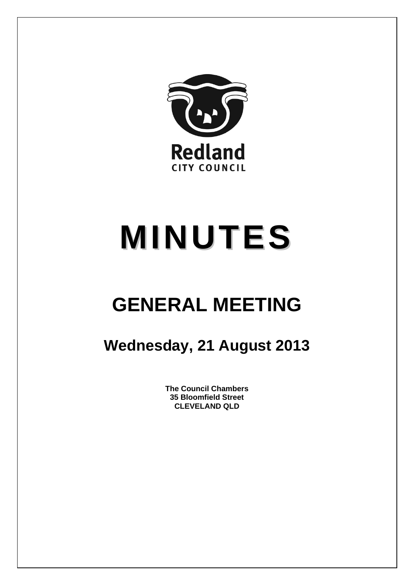

# **MINUTES**

## **GENERAL MEETING**

### **Wednesday, 21 August 2013**

**The Council Chambers 35 Bloomfield Street CLEVELAND QLD**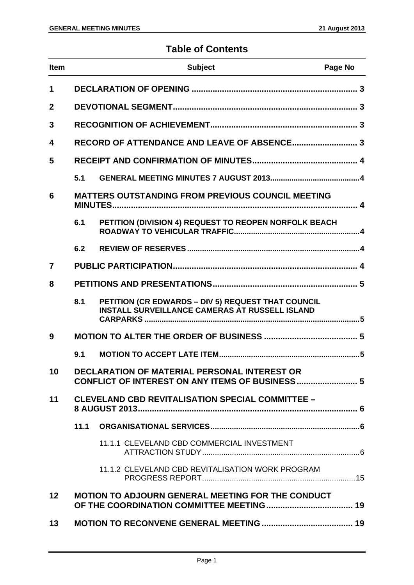#### **Table of Contents**

| <b>Item</b>             |                                                         | <b>Subject</b>                                                                                              | Page No |
|-------------------------|---------------------------------------------------------|-------------------------------------------------------------------------------------------------------------|---------|
| 1                       |                                                         |                                                                                                             |         |
| $\mathbf{2}$            |                                                         |                                                                                                             |         |
| 3                       |                                                         |                                                                                                             |         |
| $\overline{\mathbf{4}}$ |                                                         |                                                                                                             |         |
| 5                       |                                                         |                                                                                                             |         |
|                         | 5.1                                                     |                                                                                                             |         |
| 6                       |                                                         | <b>MATTERS OUTSTANDING FROM PREVIOUS COUNCIL MEETING</b>                                                    |         |
|                         | 6.1                                                     | PETITION (DIVISION 4) REQUEST TO REOPEN NORFOLK BEACH                                                       |         |
|                         | 6.2                                                     |                                                                                                             |         |
| 7                       |                                                         |                                                                                                             |         |
| 8                       |                                                         |                                                                                                             |         |
|                         | 8.1                                                     | PETITION (CR EDWARDS - DIV 5) REQUEST THAT COUNCIL<br><b>INSTALL SURVEILLANCE CAMERAS AT RUSSELL ISLAND</b> |         |
| 9                       |                                                         |                                                                                                             |         |
|                         | 9.1                                                     |                                                                                                             |         |
| 10                      |                                                         | DECLARATION OF MATERIAL PERSONAL INTEREST OR<br>CONFLICT OF INTEREST ON ANY ITEMS OF BUSINESS 5             |         |
| 11                      | <b>CLEVELAND CBD REVITALISATION SPECIAL COMMITTEE -</b> |                                                                                                             |         |
|                         | 11.1                                                    |                                                                                                             |         |
|                         |                                                         | 11.1.1 CLEVELAND CBD COMMERCIAL INVESTMENT                                                                  |         |
|                         |                                                         | 11.1.2 CLEVELAND CBD REVITALISATION WORK PROGRAM                                                            |         |
| 12                      |                                                         | MOTION TO ADJOURN GENERAL MEETING FOR THE CONDUCT                                                           |         |
| 13                      |                                                         |                                                                                                             |         |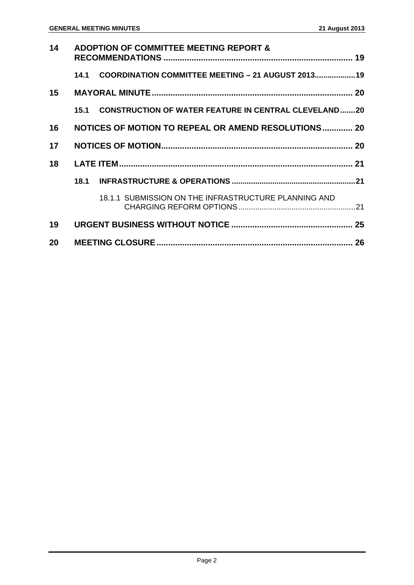| 14 |      | <b>ADOPTION OF COMMITTEE MEETING REPORT &amp;</b>           |  |
|----|------|-------------------------------------------------------------|--|
|    | 14.1 | COORDINATION COMMITTEE MEETING - 21 AUGUST 2013 19          |  |
| 15 |      |                                                             |  |
|    | 15.1 | <b>CONSTRUCTION OF WATER FEATURE IN CENTRAL CLEVELAND20</b> |  |
| 16 |      | NOTICES OF MOTION TO REPEAL OR AMEND RESOLUTIONS 20         |  |
| 17 |      |                                                             |  |
| 18 |      |                                                             |  |
|    | 18.1 |                                                             |  |
|    |      | 18.1.1 SUBMISSION ON THE INFRASTRUCTURE PLANNING AND        |  |
| 19 |      |                                                             |  |
| 20 |      |                                                             |  |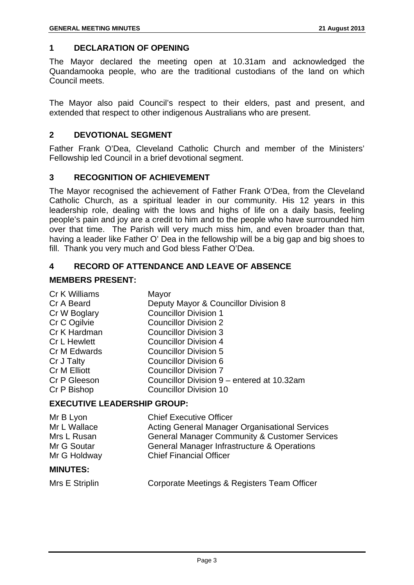#### **1 DECLARATION OF OPENING**

The Mayor declared the meeting open at 10.31am and acknowledged the Quandamooka people, who are the traditional custodians of the land on which Council meets.

The Mayor also paid Council's respect to their elders, past and present, and extended that respect to other indigenous Australians who are present.

#### **2 DEVOTIONAL SEGMENT**

Father Frank O'Dea, Cleveland Catholic Church and member of the Ministers' Fellowship led Council in a brief devotional segment.

#### **3 RECOGNITION OF ACHIEVEMENT**

The Mayor recognised the achievement of Father Frank O'Dea, from the Cleveland Catholic Church, as a spiritual leader in our community. His 12 years in this leadership role, dealing with the lows and highs of life on a daily basis, feeling people's pain and joy are a credit to him and to the people who have surrounded him over that time. The Parish will very much miss him, and even broader than that, having a leader like Father O' Dea in the fellowship will be a big gap and big shoes to fill. Thank you very much and God bless Father O'Dea.

#### **4 RECORD OF ATTENDANCE AND LEAVE OF ABSENCE**

#### **MEMBERS PRESENT:**

| Cr K Williams       | Mayor                                      |
|---------------------|--------------------------------------------|
| Cr A Beard          | Deputy Mayor & Councillor Division 8       |
| Cr W Boglary        | <b>Councillor Division 1</b>               |
| Cr C Ogilvie        | <b>Councillor Division 2</b>               |
| Cr K Hardman        | <b>Councillor Division 3</b>               |
| <b>Cr L Hewlett</b> | <b>Councillor Division 4</b>               |
| Cr M Edwards        | <b>Councillor Division 5</b>               |
| Cr J Talty          | <b>Councillor Division 6</b>               |
| <b>Cr M Elliott</b> | <b>Councillor Division 7</b>               |
| Cr P Gleeson        | Councillor Division 9 – entered at 10.32am |
| Cr P Bishop         | <b>Councillor Division 10</b>              |
|                     |                                            |

#### **EXECUTIVE LEADERSHIP GROUP:**

| Mr B Lyon<br>Mr L Wallace | <b>Chief Executive Officer</b>                                                                                    |
|---------------------------|-------------------------------------------------------------------------------------------------------------------|
| Mrs L Rusan               | <b>Acting General Manager Organisational Services</b><br><b>General Manager Community &amp; Customer Services</b> |
| Mr G Soutar               | General Manager Infrastructure & Operations                                                                       |
| Mr G Holdway              | <b>Chief Financial Officer</b>                                                                                    |
| <b>MINUTES:</b>           |                                                                                                                   |

| Mrs E Striplin | Corporate Meetings & Registers Team Officer |
|----------------|---------------------------------------------|
|----------------|---------------------------------------------|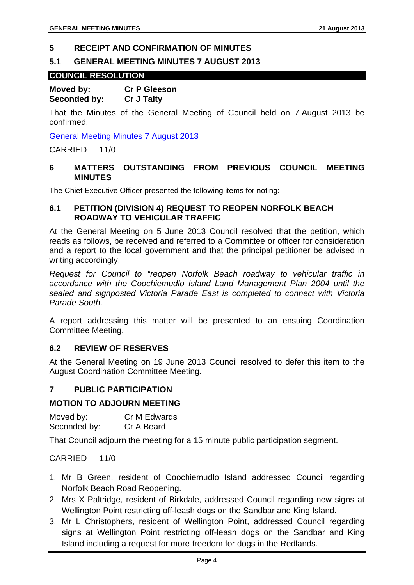#### **5 RECEIPT AND CONFIRMATION OF MINUTES**

#### **5.1 GENERAL MEETING MINUTES 7 AUGUST 2013**

#### **COUNCIL RESOLUTION**

**Moved by: Cr P Gleeson Seconded by: Cr J Talty** 

That the Minutes of the General Meeting of Council held on 7 August 2013 be confirmed.

General Meeting Minutes 7 August 2013

CARRIED 11/0

#### **6 MATTERS OUTSTANDING FROM PREVIOUS COUNCIL MEETING MINUTES**

The Chief Executive Officer presented the following items for noting:

#### **6.1 PETITION (DIVISION 4) REQUEST TO REOPEN NORFOLK BEACH ROADWAY TO VEHICULAR TRAFFIC**

At the General Meeting on 5 June 2013 Council resolved that the petition, which reads as follows, be received and referred to a Committee or officer for consideration and a report to the local government and that the principal petitioner be advised in writing accordingly.

*Request for Council to "reopen Norfolk Beach roadway to vehicular traffic in accordance with the Coochiemudlo Island Land Management Plan 2004 until the sealed and signposted Victoria Parade East is completed to connect with Victoria Parade South.* 

A report addressing this matter will be presented to an ensuing Coordination Committee Meeting.

#### **6.2 REVIEW OF RESERVES**

At the General Meeting on 19 June 2013 Council resolved to defer this item to the August Coordination Committee Meeting.

#### **7 PUBLIC PARTICIPATION**

#### **MOTION TO ADJOURN MEETING**

Moved by: Cr M Edwards Seconded by: Cr A Beard

That Council adjourn the meeting for a 15 minute public participation segment.

CARRIED 11/0

- 1. Mr B Green, resident of Coochiemudlo Island addressed Council regarding Norfolk Beach Road Reopening.
- 2. Mrs X Paltridge, resident of Birkdale, addressed Council regarding new signs at Wellington Point restricting off-leash dogs on the Sandbar and King Island.
- 3. Mr L Christophers, resident of Wellington Point, addressed Council regarding signs at Wellington Point restricting off-leash dogs on the Sandbar and King Island including a request for more freedom for dogs in the Redlands.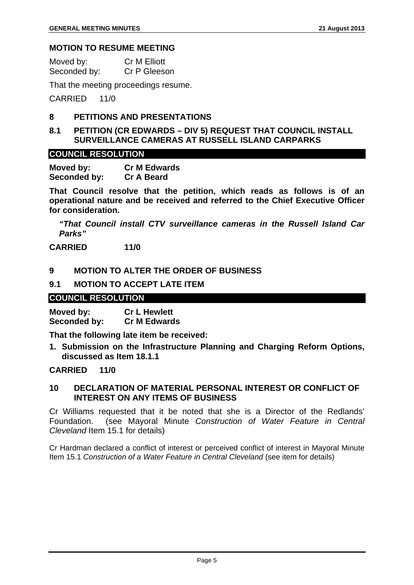#### **MOTION TO RESUME MEETING**

Moved by: Cr M Elliott Seconded by: Cr P Gleeson

That the meeting proceedings resume.

CARRIED 11/0

#### **8 PETITIONS AND PRESENTATIONS**

**8.1 PETITION (CR EDWARDS – DIV 5) REQUEST THAT COUNCIL INSTALL SURVEILLANCE CAMERAS AT RUSSELL ISLAND CARPARKS** 

#### **COUNCIL RESOLUTION**

**Moved by: Cr M Edwards Seconded by: Cr A Beard** 

**That Council resolve that the petition, which reads as follows is of an operational nature and be received and referred to the Chief Executive Officer for consideration.** 

*"That Council install CTV surveillance cameras in the Russell Island Car Parks"* 

**CARRIED 11/0** 

#### **9 MOTION TO ALTER THE ORDER OF BUSINESS**

#### **9.1 MOTION TO ACCEPT LATE ITEM**

#### **COUNCIL RESOLUTION**

**Moved by: Cr L Hewlett Seconded by: Cr M Edwards** 

**That the following late item be received:** 

**1. Submission on the Infrastructure Planning and Charging Reform Options, discussed as Item 18.1.1** 

#### **CARRIED 11/0**

#### **10 DECLARATION OF MATERIAL PERSONAL INTEREST OR CONFLICT OF INTEREST ON ANY ITEMS OF BUSINESS**

Cr Williams requested that it be noted that she is a Director of the Redlands' Foundation. (see Mayoral Minute *Construction of Water Feature in Central Cleveland* Item 15.1 for details)

Cr Hardman declared a conflict of interest or perceived conflict of interest in Mayoral Minute Item 15.1 *Construction of a Water Feature in Central Cleveland* (see item for details)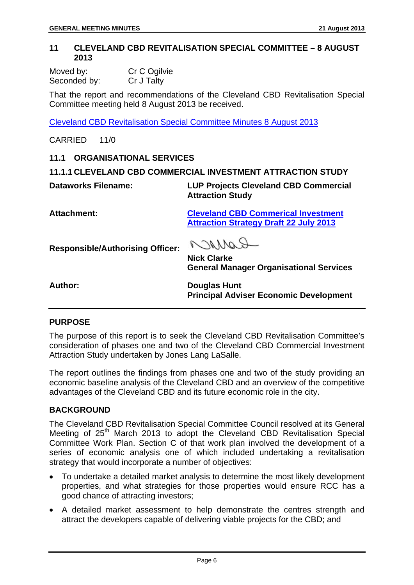#### **11 CLEVELAND CBD REVITALISATION SPECIAL COMMITTEE – 8 AUGUST 2013**

| Moved by:    | Cr C Ogilvie |
|--------------|--------------|
| Seconded by: | Cr J Talty   |

That the report and recommendations of the Cleveland CBD Revitalisation Special Committee meeting held 8 August 2013 be received.

Cleveland CBD Revitalisation Special Committee Minutes 8 August 2013

CARRIED 11/0

#### **11.1 ORGANISATIONAL SERVICES**

**11.1.1 CLEVELAND CBD COMMERCIAL INVESTMENT ATTRACTION STUDY** 

**Dataworks Filename: LUP Projects Cleveland CBD Commercial** 

**Attraction Study** 

**Attachment: Cleveland CBD Commerical Investment Attraction Strategy Draft 22 July 2013**

**Responsible/Authorising Officer:** 

COMMO

**Nick Clarke General Manager Organisational Services** 

**Author: Douglas Hunt Principal Adviser Economic Development** 

#### **PURPOSE**

The purpose of this report is to seek the Cleveland CBD Revitalisation Committee's consideration of phases one and two of the Cleveland CBD Commercial Investment Attraction Study undertaken by Jones Lang LaSalle.

The report outlines the findings from phases one and two of the study providing an economic baseline analysis of the Cleveland CBD and an overview of the competitive advantages of the Cleveland CBD and its future economic role in the city.

#### **BACKGROUND**

The Cleveland CBD Revitalisation Special Committee Council resolved at its General Meeting of  $25<sup>th</sup>$  March 2013 to adopt the Cleveland CBD Revitalisation Special Committee Work Plan. Section C of that work plan involved the development of a series of economic analysis one of which included undertaking a revitalisation strategy that would incorporate a number of objectives:

- To undertake a detailed market analysis to determine the most likely development properties, and what strategies for those properties would ensure RCC has a good chance of attracting investors;
- A detailed market assessment to help demonstrate the centres strength and attract the developers capable of delivering viable projects for the CBD; and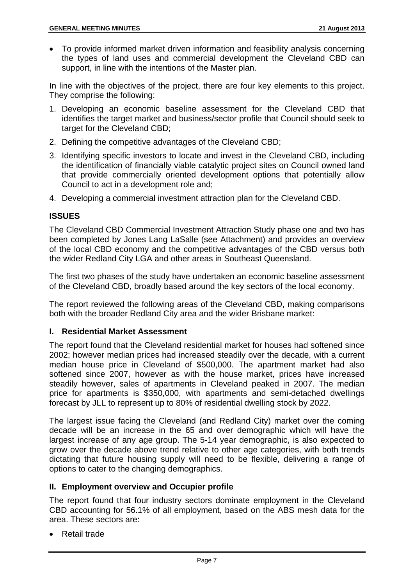• To provide informed market driven information and feasibility analysis concerning the types of land uses and commercial development the Cleveland CBD can support, in line with the intentions of the Master plan.

In line with the objectives of the project, there are four key elements to this project. They comprise the following:

- 1. Developing an economic baseline assessment for the Cleveland CBD that identifies the target market and business/sector profile that Council should seek to target for the Cleveland CBD;
- 2. Defining the competitive advantages of the Cleveland CBD;
- 3. Identifying specific investors to locate and invest in the Cleveland CBD, including the identification of financially viable catalytic project sites on Council owned land that provide commercially oriented development options that potentially allow Council to act in a development role and;
- 4. Developing a commercial investment attraction plan for the Cleveland CBD.

#### **ISSUES**

The Cleveland CBD Commercial Investment Attraction Study phase one and two has been completed by Jones Lang LaSalle (see Attachment) and provides an overview of the local CBD economy and the competitive advantages of the CBD versus both the wider Redland City LGA and other areas in Southeast Queensland.

The first two phases of the study have undertaken an economic baseline assessment of the Cleveland CBD, broadly based around the key sectors of the local economy.

The report reviewed the following areas of the Cleveland CBD, making comparisons both with the broader Redland City area and the wider Brisbane market:

#### **I. Residential Market Assessment**

The report found that the Cleveland residential market for houses had softened since 2002; however median prices had increased steadily over the decade, with a current median house price in Cleveland of \$500,000. The apartment market had also softened since 2007, however as with the house market, prices have increased steadily however, sales of apartments in Cleveland peaked in 2007. The median price for apartments is \$350,000, with apartments and semi-detached dwellings forecast by JLL to represent up to 80% of residential dwelling stock by 2022.

The largest issue facing the Cleveland (and Redland City) market over the coming decade will be an increase in the 65 and over demographic which will have the largest increase of any age group. The 5-14 year demographic, is also expected to grow over the decade above trend relative to other age categories, with both trends dictating that future housing supply will need to be flexible, delivering a range of options to cater to the changing demographics.

#### **II. Employment overview and Occupier profile**

The report found that four industry sectors dominate employment in the Cleveland CBD accounting for 56.1% of all employment, based on the ABS mesh data for the area. These sectors are:

• Retail trade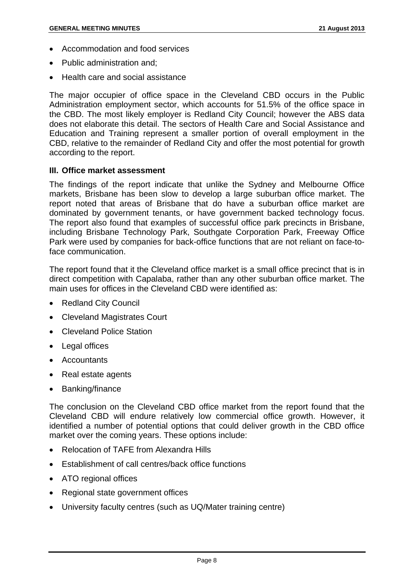- Accommodation and food services
- Public administration and:
- Health care and social assistance

The major occupier of office space in the Cleveland CBD occurs in the Public Administration employment sector, which accounts for 51.5% of the office space in the CBD. The most likely employer is Redland City Council; however the ABS data does not elaborate this detail. The sectors of Health Care and Social Assistance and Education and Training represent a smaller portion of overall employment in the CBD, relative to the remainder of Redland City and offer the most potential for growth according to the report.

#### **III. Office market assessment**

The findings of the report indicate that unlike the Sydney and Melbourne Office markets, Brisbane has been slow to develop a large suburban office market. The report noted that areas of Brisbane that do have a suburban office market are dominated by government tenants, or have government backed technology focus. The report also found that examples of successful office park precincts in Brisbane, including Brisbane Technology Park, Southgate Corporation Park, Freeway Office Park were used by companies for back-office functions that are not reliant on face-toface communication.

The report found that it the Cleveland office market is a small office precinct that is in direct competition with Capalaba, rather than any other suburban office market. The main uses for offices in the Cleveland CBD were identified as:

- Redland City Council
- Cleveland Magistrates Court
- Cleveland Police Station
- Legal offices
- Accountants
- Real estate agents
- Banking/finance

The conclusion on the Cleveland CBD office market from the report found that the Cleveland CBD will endure relatively low commercial office growth. However, it identified a number of potential options that could deliver growth in the CBD office market over the coming years. These options include:

- Relocation of TAFE from Alexandra Hills
- Establishment of call centres/back office functions
- ATO regional offices
- Regional state government offices
- University faculty centres (such as UQ/Mater training centre)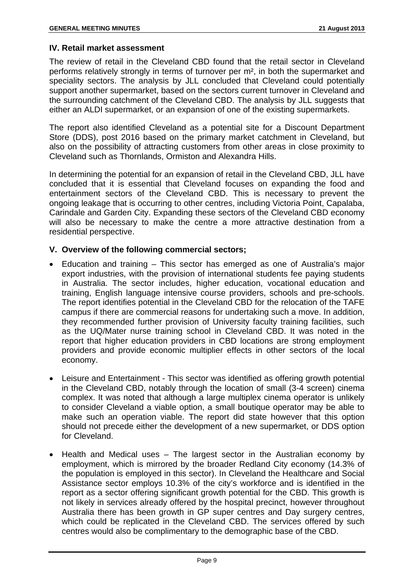#### **IV. Retail market assessment**

The review of retail in the Cleveland CBD found that the retail sector in Cleveland performs relatively strongly in terms of turnover per m², in both the supermarket and speciality sectors. The analysis by JLL concluded that Cleveland could potentially support another supermarket, based on the sectors current turnover in Cleveland and the surrounding catchment of the Cleveland CBD. The analysis by JLL suggests that either an ALDI supermarket, or an expansion of one of the existing supermarkets.

The report also identified Cleveland as a potential site for a Discount Department Store (DDS), post 2016 based on the primary market catchment in Cleveland, but also on the possibility of attracting customers from other areas in close proximity to Cleveland such as Thornlands, Ormiston and Alexandra Hills.

In determining the potential for an expansion of retail in the Cleveland CBD, JLL have concluded that it is essential that Cleveland focuses on expanding the food and entertainment sectors of the Cleveland CBD. This is necessary to prevent the ongoing leakage that is occurring to other centres, including Victoria Point, Capalaba, Carindale and Garden City. Expanding these sectors of the Cleveland CBD economy will also be necessary to make the centre a more attractive destination from a residential perspective.

#### **V. Overview of the following commercial sectors;**

- Education and training This sector has emerged as one of Australia's major export industries, with the provision of international students fee paying students in Australia. The sector includes, higher education, vocational education and training, English language intensive course providers, schools and pre-schools. The report identifies potential in the Cleveland CBD for the relocation of the TAFE campus if there are commercial reasons for undertaking such a move. In addition, they recommended further provision of University faculty training facilities, such as the UQ/Mater nurse training school in Cleveland CBD. It was noted in the report that higher education providers in CBD locations are strong employment providers and provide economic multiplier effects in other sectors of the local economy.
- Leisure and Entertainment This sector was identified as offering growth potential in the Cleveland CBD, notably through the location of small (3-4 screen) cinema complex. It was noted that although a large multiplex cinema operator is unlikely to consider Cleveland a viable option, a small boutique operator may be able to make such an operation viable. The report did state however that this option should not precede either the development of a new supermarket, or DDS option for Cleveland.
- Health and Medical uses The largest sector in the Australian economy by employment, which is mirrored by the broader Redland City economy (14.3% of the population is employed in this sector). In Cleveland the Healthcare and Social Assistance sector employs 10.3% of the city's workforce and is identified in the report as a sector offering significant growth potential for the CBD. This growth is not likely in services already offered by the hospital precinct, however throughout Australia there has been growth in GP super centres and Day surgery centres, which could be replicated in the Cleveland CBD. The services offered by such centres would also be complimentary to the demographic base of the CBD.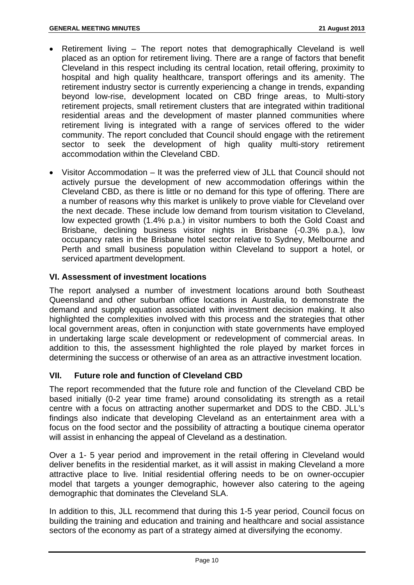- Retirement living The report notes that demographically Cleveland is well placed as an option for retirement living. There are a range of factors that benefit Cleveland in this respect including its central location, retail offering, proximity to hospital and high quality healthcare, transport offerings and its amenity. The retirement industry sector is currently experiencing a change in trends, expanding beyond low-rise, development located on CBD fringe areas, to Multi-story retirement projects, small retirement clusters that are integrated within traditional residential areas and the development of master planned communities where retirement living is integrated with a range of services offered to the wider community. The report concluded that Council should engage with the retirement sector to seek the development of high quality multi-story retirement accommodation within the Cleveland CBD.
- Visitor Accommodation It was the preferred view of JLL that Council should not actively pursue the development of new accommodation offerings within the Cleveland CBD, as there is little or no demand for this type of offering. There are a number of reasons why this market is unlikely to prove viable for Cleveland over the next decade. These include low demand from tourism visitation to Cleveland, low expected growth (1.4% p.a.) in visitor numbers to both the Gold Coast and Brisbane, declining business visitor nights in Brisbane (-0.3% p.a.), low occupancy rates in the Brisbane hotel sector relative to Sydney, Melbourne and Perth and small business population within Cleveland to support a hotel, or serviced apartment development.

#### **VI. Assessment of investment locations**

The report analysed a number of investment locations around both Southeast Queensland and other suburban office locations in Australia, to demonstrate the demand and supply equation associated with investment decision making. It also highlighted the complexities involved with this process and the strategies that other local government areas, often in conjunction with state governments have employed in undertaking large scale development or redevelopment of commercial areas. In addition to this, the assessment highlighted the role played by market forces in determining the success or otherwise of an area as an attractive investment location.

#### **VII. Future role and function of Cleveland CBD**

The report recommended that the future role and function of the Cleveland CBD be based initially (0-2 year time frame) around consolidating its strength as a retail centre with a focus on attracting another supermarket and DDS to the CBD. JLL's findings also indicate that developing Cleveland as an entertainment area with a focus on the food sector and the possibility of attracting a boutique cinema operator will assist in enhancing the appeal of Cleveland as a destination.

Over a 1- 5 year period and improvement in the retail offering in Cleveland would deliver benefits in the residential market, as it will assist in making Cleveland a more attractive place to live. Initial residential offering needs to be on owner-occupier model that targets a younger demographic, however also catering to the ageing demographic that dominates the Cleveland SLA.

In addition to this, JLL recommend that during this 1-5 year period, Council focus on building the training and education and training and healthcare and social assistance sectors of the economy as part of a strategy aimed at diversifying the economy.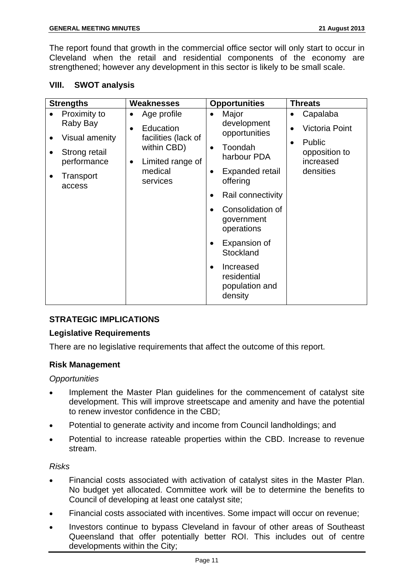The report found that growth in the commercial office sector will only start to occur in Cleveland when the retail and residential components of the economy are strengthened; however any development in this sector is likely to be small scale.

#### **VIII. SWOT analysis**

| <b>Opportunities</b><br><b>Strengths</b><br><b>Weaknesses</b><br><b>Threats</b>                                                                                                                                                                                                                                                                                                                                                                                                                                                                                                                       |                                                                                        |
|-------------------------------------------------------------------------------------------------------------------------------------------------------------------------------------------------------------------------------------------------------------------------------------------------------------------------------------------------------------------------------------------------------------------------------------------------------------------------------------------------------------------------------------------------------------------------------------------------------|----------------------------------------------------------------------------------------|
| Proximity to<br>Major<br>Age profile<br>$\bullet$<br>$\bullet$<br>development<br>Raby Bay<br>Education<br>opportunities<br>facilities (lack of<br>Visual amenity<br>٠<br>within CBD)<br>Toondah<br>$\bullet$<br>Strong retail<br>harbour PDA<br>performance<br>Limited range of<br>$\bullet$<br>medical<br>Expanded retail<br>$\bullet$<br>Transport<br>services<br>offering<br>access<br>Rail connectivity<br>$\bullet$<br>Consolidation of<br>$\bullet$<br>government<br>operations<br>Expansion of<br>$\bullet$<br>Stockland<br>Increased<br>$\bullet$<br>residential<br>population and<br>density | Capalaba<br><b>Victoria Point</b><br>Public<br>opposition to<br>increased<br>densities |

#### **STRATEGIC IMPLICATIONS**

#### **Legislative Requirements**

There are no legislative requirements that affect the outcome of this report.

#### **Risk Management**

#### *Opportunities*

- Implement the Master Plan guidelines for the commencement of catalyst site development. This will improve streetscape and amenity and have the potential to renew investor confidence in the CBD;
- Potential to generate activity and income from Council landholdings; and
- Potential to increase rateable properties within the CBD. Increase to revenue stream.

#### *Risks*

- Financial costs associated with activation of catalyst sites in the Master Plan. No budget yet allocated. Committee work will be to determine the benefits to Council of developing at least one catalyst site;
- Financial costs associated with incentives. Some impact will occur on revenue;
- Investors continue to bypass Cleveland in favour of other areas of Southeast Queensland that offer potentially better ROI. This includes out of centre developments within the City;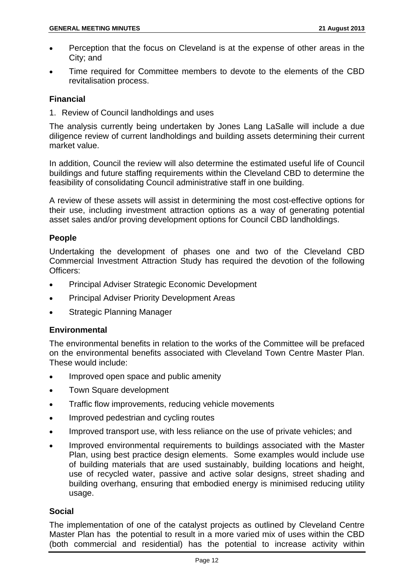- Perception that the focus on Cleveland is at the expense of other areas in the City; and
- Time required for Committee members to devote to the elements of the CBD revitalisation process.

#### **Financial**

1. Review of Council landholdings and uses

The analysis currently being undertaken by Jones Lang LaSalle will include a due diligence review of current landholdings and building assets determining their current market value.

In addition, Council the review will also determine the estimated useful life of Council buildings and future staffing requirements within the Cleveland CBD to determine the feasibility of consolidating Council administrative staff in one building.

A review of these assets will assist in determining the most cost-effective options for their use, including investment attraction options as a way of generating potential asset sales and/or proving development options for Council CBD landholdings.

#### **People**

Undertaking the development of phases one and two of the Cleveland CBD Commercial Investment Attraction Study has required the devotion of the following Officers:

- Principal Adviser Strategic Economic Development
- Principal Adviser Priority Development Areas
- Strategic Planning Manager

#### **Environmental**

The environmental benefits in relation to the works of the Committee will be prefaced on the environmental benefits associated with Cleveland Town Centre Master Plan. These would include:

- Improved open space and public amenity
- Town Square development
- Traffic flow improvements, reducing vehicle movements
- Improved pedestrian and cycling routes
- Improved transport use, with less reliance on the use of private vehicles; and
- Improved environmental requirements to buildings associated with the Master Plan, using best practice design elements. Some examples would include use of building materials that are used sustainably, building locations and height, use of recycled water, passive and active solar designs, street shading and building overhang, ensuring that embodied energy is minimised reducing utility usage.

#### **Social**

The implementation of one of the catalyst projects as outlined by Cleveland Centre Master Plan has the potential to result in a more varied mix of uses within the CBD (both commercial and residential) has the potential to increase activity within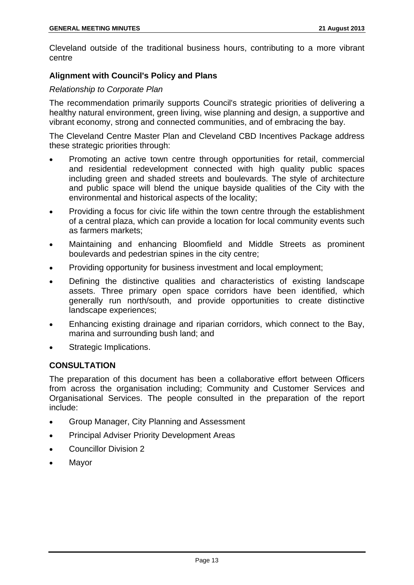Cleveland outside of the traditional business hours, contributing to a more vibrant centre

#### **Alignment with Council's Policy and Plans**

#### *Relationship to Corporate Plan*

The recommendation primarily supports Council's strategic priorities of delivering a healthy natural environment, green living, wise planning and design, a supportive and vibrant economy, strong and connected communities, and of embracing the bay.

The Cleveland Centre Master Plan and Cleveland CBD Incentives Package address these strategic priorities through:

- Promoting an active town centre through opportunities for retail, commercial and residential redevelopment connected with high quality public spaces including green and shaded streets and boulevards. The style of architecture and public space will blend the unique bayside qualities of the City with the environmental and historical aspects of the locality;
- Providing a focus for civic life within the town centre through the establishment of a central plaza, which can provide a location for local community events such as farmers markets;
- Maintaining and enhancing Bloomfield and Middle Streets as prominent boulevards and pedestrian spines in the city centre;
- Providing opportunity for business investment and local employment;
- Defining the distinctive qualities and characteristics of existing landscape assets. Three primary open space corridors have been identified, which generally run north/south, and provide opportunities to create distinctive landscape experiences;
- Enhancing existing drainage and riparian corridors, which connect to the Bay, marina and surrounding bush land; and
- Strategic Implications.

#### **CONSULTATION**

The preparation of this document has been a collaborative effort between Officers from across the organisation including; Community and Customer Services and Organisational Services. The people consulted in the preparation of the report include:

- Group Manager, City Planning and Assessment
- Principal Adviser Priority Development Areas
- Councillor Division 2
- Mayor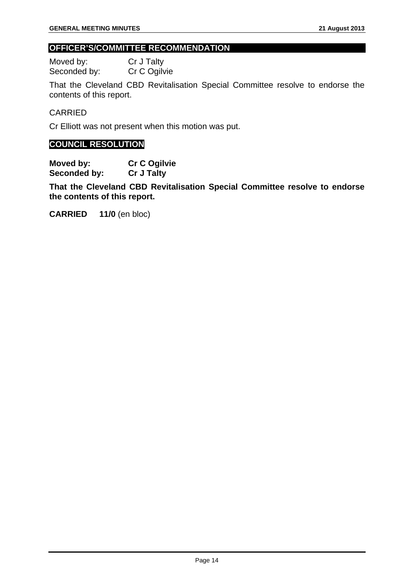#### **OFFICER'S/COMMITTEE RECOMMENDATION**

Moved by: Cr J Talty<br>Seconded by: Cr C Ogilvie Seconded by:

That the Cleveland CBD Revitalisation Special Committee resolve to endorse the contents of this report.

#### CARRIED

Cr Elliott was not present when this motion was put.

#### **COUNCIL RESOLUTION**

**Moved by: Cr C Ogilvie Seconded by: Cr J Talty** 

**That the Cleveland CBD Revitalisation Special Committee resolve to endorse the contents of this report.** 

**CARRIED 11/0** (en bloc)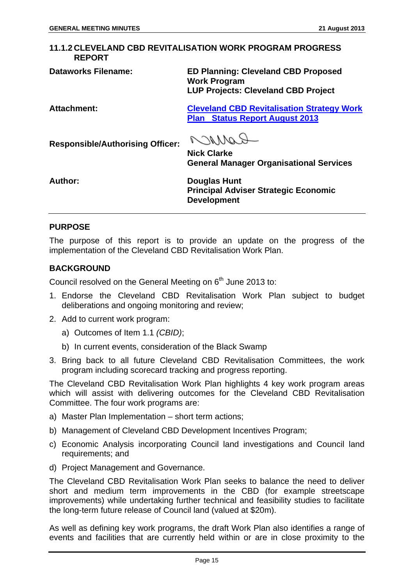#### **11.1.2 CLEVELAND CBD REVITALISATION WORK PROGRAM PROGRESS REPORT**

**Responsible/Authorising Officer:** 

**Dataworks Filename: ED Planning: Cleveland CBD Proposed Work Program LUP Projects: Cleveland CBD Project** 

**Attachment: Cleveland CBD Revitalisation Strategy Work Plan Status Report August 2013**

RANNAA

**Nick Clarke General Manager Organisational Services** 

**Author: Douglas Hunt Principal Adviser Strategic Economic Development** 

#### **PURPOSE**

The purpose of this report is to provide an update on the progress of the implementation of the Cleveland CBD Revitalisation Work Plan.

#### **BACKGROUND**

Council resolved on the General Meeting on  $6<sup>th</sup>$  June 2013 to:

- 1. Endorse the Cleveland CBD Revitalisation Work Plan subject to budget deliberations and ongoing monitoring and review;
- 2. Add to current work program:
	- a) Outcomes of Item 1.1 *(CBID)*;
	- b) In current events, consideration of the Black Swamp
- 3. Bring back to all future Cleveland CBD Revitalisation Committees, the work program including scorecard tracking and progress reporting.

The Cleveland CBD Revitalisation Work Plan highlights 4 key work program areas which will assist with delivering outcomes for the Cleveland CBD Revitalisation Committee. The four work programs are:

- a) Master Plan Implementation short term actions;
- b) Management of Cleveland CBD Development Incentives Program;
- c) Economic Analysis incorporating Council land investigations and Council land requirements; and
- d) Project Management and Governance.

The Cleveland CBD Revitalisation Work Plan seeks to balance the need to deliver short and medium term improvements in the CBD (for example streetscape improvements) while undertaking further technical and feasibility studies to facilitate the long-term future release of Council land (valued at \$20m).

As well as defining key work programs, the draft Work Plan also identifies a range of events and facilities that are currently held within or are in close proximity to the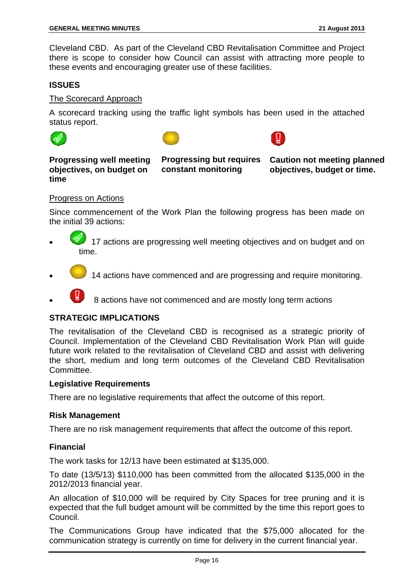Cleveland CBD. As part of the Cleveland CBD Revitalisation Committee and Project there is scope to consider how Council can assist with attracting more people to these events and encouraging greater use of these facilities.

#### **ISSUES**

#### The Scorecard Approach

A scorecard tracking using the traffic light symbols has been used in the attached status report.







#### **Progressing well meeting objectives, on budget on time**

**Progressing but requires constant monitoring** 

**Caution not meeting planned objectives, budget or time.** 

#### Progress on Actions

Since commencement of the Work Plan the following progress has been made on the initial 39 actions:

- 17 actions are progressing well meeting objectives and on budget and on time.
- 14 actions have commenced and are progressing and require monitoring.
- 8 actions have not commenced and are mostly long term actions

#### **STRATEGIC IMPLICATIONS**

The revitalisation of the Cleveland CBD is recognised as a strategic priority of Council. Implementation of the Cleveland CBD Revitalisation Work Plan will guide future work related to the revitalisation of Cleveland CBD and assist with delivering the short, medium and long term outcomes of the Cleveland CBD Revitalisation Committee.

#### **Legislative Requirements**

There are no legislative requirements that affect the outcome of this report.

#### **Risk Management**

There are no risk management requirements that affect the outcome of this report.

#### **Financial**

The work tasks for 12/13 have been estimated at \$135,000.

To date (13/5/13) \$110,000 has been committed from the allocated \$135,000 in the 2012/2013 financial year.

An allocation of \$10,000 will be required by City Spaces for tree pruning and it is expected that the full budget amount will be committed by the time this report goes to Council.

The Communications Group have indicated that the \$75,000 allocated for the communication strategy is currently on time for delivery in the current financial year.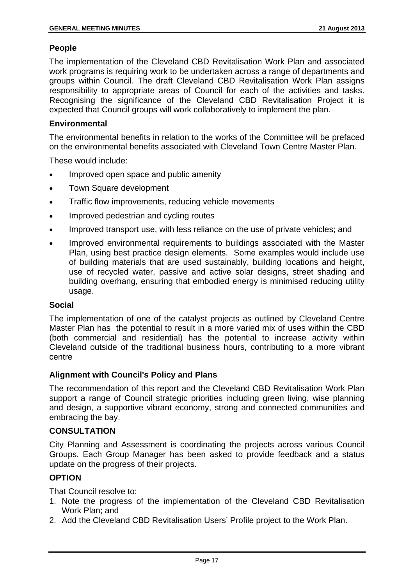#### **People**

The implementation of the Cleveland CBD Revitalisation Work Plan and associated work programs is requiring work to be undertaken across a range of departments and groups within Council. The draft Cleveland CBD Revitalisation Work Plan assigns responsibility to appropriate areas of Council for each of the activities and tasks. Recognising the significance of the Cleveland CBD Revitalisation Project it is expected that Council groups will work collaboratively to implement the plan.

#### **Environmental**

The environmental benefits in relation to the works of the Committee will be prefaced on the environmental benefits associated with Cleveland Town Centre Master Plan.

These would include:

- Improved open space and public amenity
- Town Square development
- Traffic flow improvements, reducing vehicle movements
- Improved pedestrian and cycling routes
- Improved transport use, with less reliance on the use of private vehicles; and
- Improved environmental requirements to buildings associated with the Master Plan, using best practice design elements. Some examples would include use of building materials that are used sustainably, building locations and height, use of recycled water, passive and active solar designs, street shading and building overhang, ensuring that embodied energy is minimised reducing utility usage.

#### **Social**

The implementation of one of the catalyst projects as outlined by Cleveland Centre Master Plan has the potential to result in a more varied mix of uses within the CBD (both commercial and residential) has the potential to increase activity within Cleveland outside of the traditional business hours, contributing to a more vibrant centre

#### **Alignment with Council's Policy and Plans**

The recommendation of this report and the Cleveland CBD Revitalisation Work Plan support a range of Council strategic priorities including green living, wise planning and design, a supportive vibrant economy, strong and connected communities and embracing the bay.

#### **CONSULTATION**

City Planning and Assessment is coordinating the projects across various Council Groups. Each Group Manager has been asked to provide feedback and a status update on the progress of their projects.

#### **OPTION**

That Council resolve to:

- 1. Note the progress of the implementation of the Cleveland CBD Revitalisation Work Plan; and
- 2. Add the Cleveland CBD Revitalisation Users' Profile project to the Work Plan.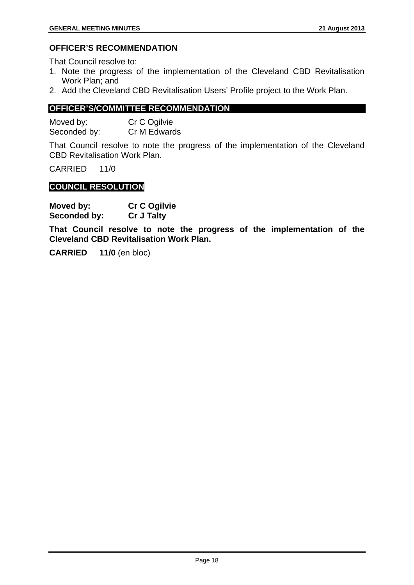#### **OFFICER'S RECOMMENDATION**

That Council resolve to:

- 1. Note the progress of the implementation of the Cleveland CBD Revitalisation Work Plan; and
- 2. Add the Cleveland CBD Revitalisation Users' Profile project to the Work Plan.

#### **OFFICER'S/COMMITTEE RECOMMENDATION**

Moved by: Cr C Ogilvie Seconded by: Cr M Edwards

That Council resolve to note the progress of the implementation of the Cleveland CBD Revitalisation Work Plan.

CARRIED 11/0

#### **COUNCIL RESOLUTION**

| Moved by:    | <b>Cr C Ogilvie</b> |
|--------------|---------------------|
| Seconded by: | <b>Cr J Talty</b>   |

**That Council resolve to note the progress of the implementation of the Cleveland CBD Revitalisation Work Plan.** 

**CARRIED 11/0** (en bloc)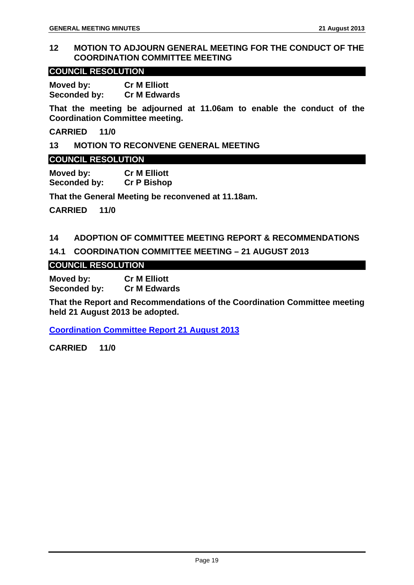#### **12 MOTION TO ADJOURN GENERAL MEETING FOR THE CONDUCT OF THE COORDINATION COMMITTEE MEETING**

#### **COUNCIL RESOLUTION**

**Moved by: Cr M Elliott Seconded by: Cr M Edwards** 

**That the meeting be adjourned at 11.06am to enable the conduct of the Coordination Committee meeting.** 

**CARRIED 11/0** 

#### **13 MOTION TO RECONVENE GENERAL MEETING**

#### **COUNCIL RESOLUTION**

**Moved by: Cr M Elliott Seconded by: Cr P Bishop** 

**That the General Meeting be reconvened at 11.18am.** 

**CARRIED 11/0** 

#### **14 ADOPTION OF COMMITTEE MEETING REPORT & RECOMMENDATIONS**

#### **14.1 COORDINATION COMMITTEE MEETING – 21 AUGUST 2013**

#### **COUNCIL RESOLUTION**

**Moved by: Cr M Elliott Seconded by: Cr M Edwards** 

**That the Report and Recommendations of the Coordination Committee meeting held 21 August 2013 be adopted.** 

**Coordination Committee Report 21 August 2013**

**CARRIED 11/0**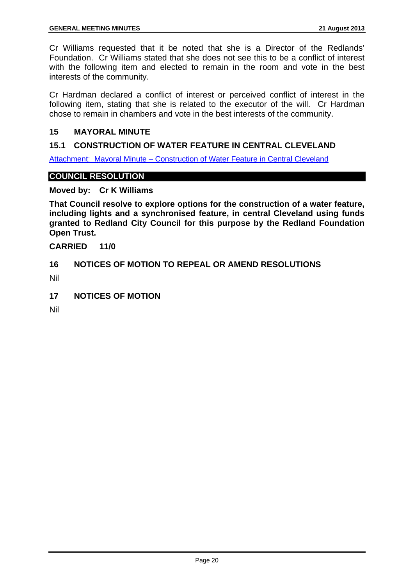Cr Williams requested that it be noted that she is a Director of the Redlands' Foundation. Cr Williams stated that she does not see this to be a conflict of interest with the following item and elected to remain in the room and vote in the best interests of the community.

Cr Hardman declared a conflict of interest or perceived conflict of interest in the following item, stating that she is related to the executor of the will. Cr Hardman chose to remain in chambers and vote in the best interests of the community.

#### **15 MAYORAL MINUTE**

#### **15.1 CONSTRUCTION OF WATER FEATURE IN CENTRAL CLEVELAND**

Attachment: Mayoral Minute – Construction of Water Feature in Central Cleveland

#### **COUNCIL RESOLUTION**

**Moved by: Cr K Williams** 

**That Council resolve to explore options for the construction of a water feature, including lights and a synchronised feature, in central Cleveland using funds granted to Redland City Council for this purpose by the Redland Foundation Open Trust.** 

**CARRIED 11/0** 

#### **16 NOTICES OF MOTION TO REPEAL OR AMEND RESOLUTIONS**

Nil

**17 NOTICES OF MOTION** 

Nil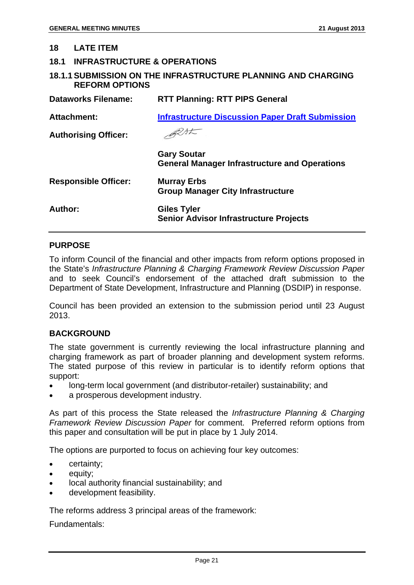#### **18 LATE ITEM**

#### **18.1 INFRASTRUCTURE & OPERATIONS**

#### **18.1.1 SUBMISSION ON THE INFRASTRUCTURE PLANNING AND CHARGING REFORM OPTIONS**

| <b>Dataworks Filename:</b>  | <b>RTT Planning: RTT PIPS General</b>                                      |
|-----------------------------|----------------------------------------------------------------------------|
| <b>Attachment:</b>          | <b>Infrastructure Discussion Paper Draft Submission</b>                    |
| <b>Authorising Officer:</b> |                                                                            |
|                             | <b>Gary Soutar</b><br><b>General Manager Infrastructure and Operations</b> |
| <b>Responsible Officer:</b> | <b>Murray Erbs</b><br><b>Group Manager City Infrastructure</b>             |
| Author:                     | <b>Giles Tyler</b><br><b>Senior Advisor Infrastructure Projects</b>        |

#### **PURPOSE**

To inform Council of the financial and other impacts from reform options proposed in the State's *Infrastructure Planning & Charging Framework Review Discussion Paper* and to seek Council's endorsement of the attached draft submission to the Department of State Development, Infrastructure and Planning (DSDIP) in response.

Council has been provided an extension to the submission period until 23 August 2013.

#### **BACKGROUND**

The state government is currently reviewing the local infrastructure planning and charging framework as part of broader planning and development system reforms. The stated purpose of this review in particular is to identify reform options that support:

- long-term local government (and distributor-retailer) sustainability; and
- a prosperous development industry.

As part of this process the State released the *Infrastructure Planning & Charging Framework Review Discussion Paper* for comment. Preferred reform options from this paper and consultation will be put in place by 1 July 2014.

The options are purported to focus on achieving four key outcomes:

- certainty;
- equity;
- local authority financial sustainability; and
- development feasibility.

The reforms address 3 principal areas of the framework:

Fundamentals: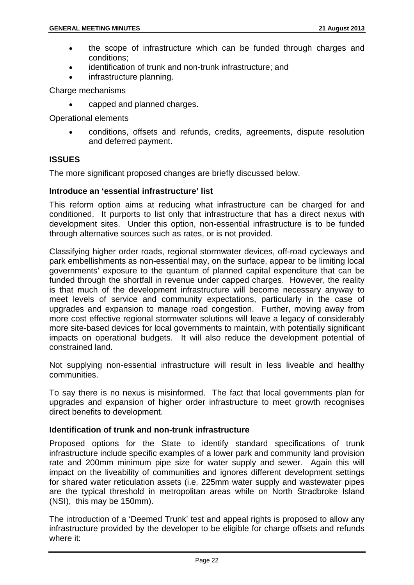- the scope of infrastructure which can be funded through charges and conditions;
- identification of trunk and non-trunk infrastructure; and
- infrastructure planning.

Charge mechanisms

• capped and planned charges.

Operational elements

• conditions, offsets and refunds, credits, agreements, dispute resolution and deferred payment.

#### **ISSUES**

The more significant proposed changes are briefly discussed below.

#### **Introduce an 'essential infrastructure' list**

This reform option aims at reducing what infrastructure can be charged for and conditioned. It purports to list only that infrastructure that has a direct nexus with development sites. Under this option, non-essential infrastructure is to be funded through alternative sources such as rates, or is not provided.

Classifying higher order roads, regional stormwater devices, off-road cycleways and park embellishments as non-essential may, on the surface, appear to be limiting local governments' exposure to the quantum of planned capital expenditure that can be funded through the shortfall in revenue under capped charges. However, the reality is that much of the development infrastructure will become necessary anyway to meet levels of service and community expectations, particularly in the case of upgrades and expansion to manage road congestion. Further, moving away from more cost effective regional stormwater solutions will leave a legacy of considerably more site-based devices for local governments to maintain, with potentially significant impacts on operational budgets. It will also reduce the development potential of constrained land.

Not supplying non-essential infrastructure will result in less liveable and healthy communities.

To say there is no nexus is misinformed. The fact that local governments plan for upgrades and expansion of higher order infrastructure to meet growth recognises direct benefits to development.

#### **Identification of trunk and non-trunk infrastructure**

Proposed options for the State to identify standard specifications of trunk infrastructure include specific examples of a lower park and community land provision rate and 200mm minimum pipe size for water supply and sewer. Again this will impact on the liveability of communities and ignores different development settings for shared water reticulation assets (i.e. 225mm water supply and wastewater pipes are the typical threshold in metropolitan areas while on North Stradbroke Island (NSI), this may be 150mm).

The introduction of a 'Deemed Trunk' test and appeal rights is proposed to allow any infrastructure provided by the developer to be eligible for charge offsets and refunds where it: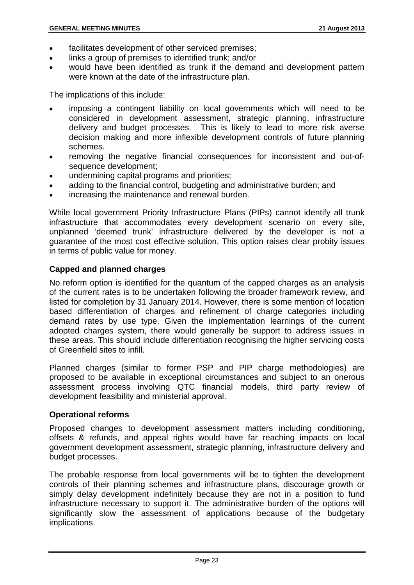- facilitates development of other serviced premises;
- links a group of premises to identified trunk; and/or
- would have been identified as trunk if the demand and development pattern were known at the date of the infrastructure plan.

The implications of this include:

- imposing a contingent liability on local governments which will need to be considered in development assessment, strategic planning, infrastructure delivery and budget processes. This is likely to lead to more risk averse decision making and more inflexible development controls of future planning schemes.
- removing the negative financial consequences for inconsistent and out-ofsequence development;
- undermining capital programs and priorities;
- adding to the financial control, budgeting and administrative burden; and
- increasing the maintenance and renewal burden.

While local government Priority Infrastructure Plans (PIPs) cannot identify all trunk infrastructure that accommodates every development scenario on every site, unplanned 'deemed trunk' infrastructure delivered by the developer is not a guarantee of the most cost effective solution. This option raises clear probity issues in terms of public value for money.

#### **Capped and planned charges**

No reform option is identified for the quantum of the capped charges as an analysis of the current rates is to be undertaken following the broader framework review, and listed for completion by 31 January 2014. However, there is some mention of location based differentiation of charges and refinement of charge categories including demand rates by use type. Given the implementation learnings of the current adopted charges system, there would generally be support to address issues in these areas. This should include differentiation recognising the higher servicing costs of Greenfield sites to infill.

Planned charges (similar to former PSP and PIP charge methodologies) are proposed to be available in exceptional circumstances and subject to an onerous assessment process involving QTC financial models, third party review of development feasibility and ministerial approval.

#### **Operational reforms**

Proposed changes to development assessment matters including conditioning, offsets & refunds, and appeal rights would have far reaching impacts on local government development assessment, strategic planning, infrastructure delivery and budget processes.

The probable response from local governments will be to tighten the development controls of their planning schemes and infrastructure plans, discourage growth or simply delay development indefinitely because they are not in a position to fund infrastructure necessary to support it. The administrative burden of the options will significantly slow the assessment of applications because of the budgetary implications.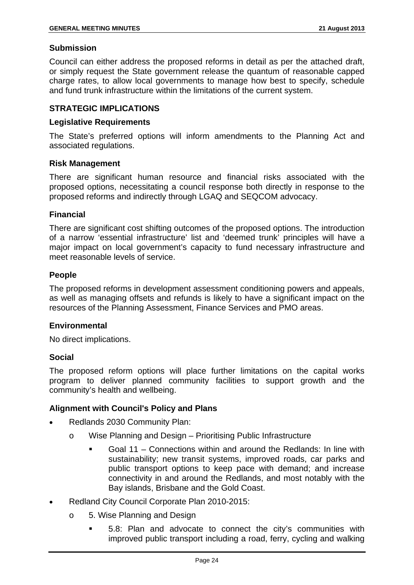#### **Submission**

Council can either address the proposed reforms in detail as per the attached draft, or simply request the State government release the quantum of reasonable capped charge rates, to allow local governments to manage how best to specify, schedule and fund trunk infrastructure within the limitations of the current system.

#### **STRATEGIC IMPLICATIONS**

#### **Legislative Requirements**

The State's preferred options will inform amendments to the Planning Act and associated regulations.

#### **Risk Management**

There are significant human resource and financial risks associated with the proposed options, necessitating a council response both directly in response to the proposed reforms and indirectly through LGAQ and SEQCOM advocacy.

#### **Financial**

There are significant cost shifting outcomes of the proposed options. The introduction of a narrow 'essential infrastructure' list and 'deemed trunk' principles will have a major impact on local government's capacity to fund necessary infrastructure and meet reasonable levels of service.

#### **People**

The proposed reforms in development assessment conditioning powers and appeals, as well as managing offsets and refunds is likely to have a significant impact on the resources of the Planning Assessment, Finance Services and PMO areas.

#### **Environmental**

No direct implications.

#### **Social**

The proposed reform options will place further limitations on the capital works program to deliver planned community facilities to support growth and the community's health and wellbeing.

#### **Alignment with Council's Policy and Plans**

- Redlands 2030 Community Plan:
	- o Wise Planning and Design Prioritising Public Infrastructure
		- Goal 11 Connections within and around the Redlands: In line with sustainability; new transit systems, improved roads, car parks and public transport options to keep pace with demand; and increase connectivity in and around the Redlands, and most notably with the Bay islands, Brisbane and the Gold Coast.
- Redland City Council Corporate Plan 2010-2015:
	- o 5. Wise Planning and Design
		- 5.8: Plan and advocate to connect the city's communities with improved public transport including a road, ferry, cycling and walking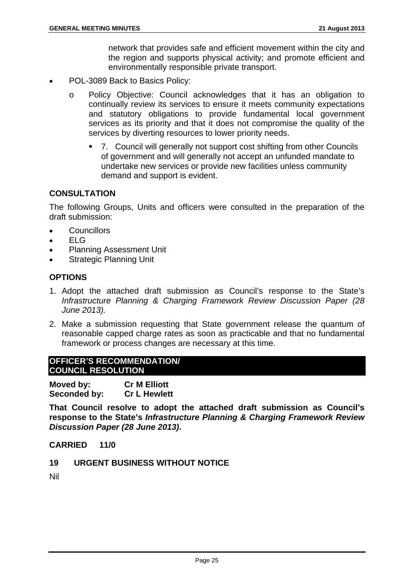network that provides safe and efficient movement within the city and the region and supports physical activity; and promote efficient and environmentally responsible private transport.

- POL-3089 Back to Basics Policy:
	- o Policy Objective: Council acknowledges that it has an obligation to continually review its services to ensure it meets community expectations and statutory obligations to provide fundamental local government services as its priority and that it does not compromise the quality of the services by diverting resources to lower priority needs.
		- 7. Council will generally not support cost shifting from other Councils of government and will generally not accept an unfunded mandate to undertake new services or provide new facilities unless community demand and support is evident.

#### **CONSULTATION**

The following Groups, Units and officers were consulted in the preparation of the draft submission:

- Councillors
- ELG
- Planning Assessment Unit
- **Strategic Planning Unit**

#### **OPTIONS**

- 1. Adopt the attached draft submission as Council's response to the State's *Infrastructure Planning & Charging Framework Review Discussion Paper (28 June 2013).*
- 2. Make a submission requesting that State government release the quantum of reasonable capped charge rates as soon as practicable and that no fundamental framework or process changes are necessary at this time.

#### **OFFICER'S RECOMMENDATION/ COUNCIL RESOLUTION**

**Moved by: Cr M Elliott Seconded by: Cr L Hewlett** 

**That Council resolve to adopt the attached draft submission as Council's response to the State's** *Infrastructure Planning & Charging Framework Review Discussion Paper (28 June 2013)***.** 

#### **CARRIED 11/0**

**19 URGENT BUSINESS WITHOUT NOTICE** 

Nil